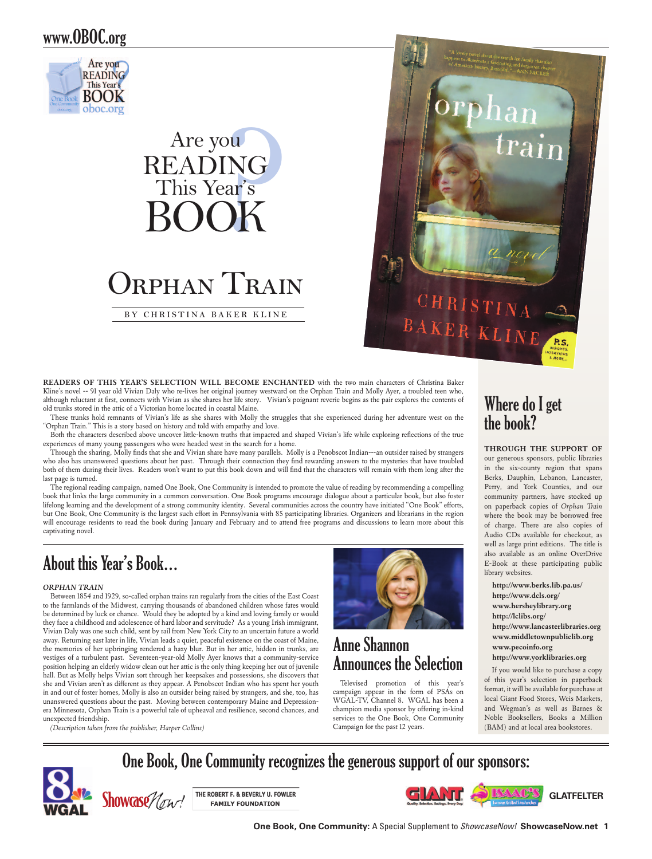### www.OBOC.org



# <sup>ou</sup><br>NG<br>ar's<br>**)K** Are you Reading This Year's Book Orphan Train

**by Christina B aker K line**



READERS OF THIS YEAR'S SELECTION WILL BECOME ENCHANTED with the two main characters of Christina Baker Kline's novel -- 91 year old Vivian Daly who re-lives her original journey westward on the Orphan Train and Molly Ayer, a troubled teen who, although reluctant at first, connects with Vivian as she shares her life story. Vivian's poignant reverie begins as the pair explores the contents of old trunks stored in the attic of a Victorian home located in coastal Maine.

These trunks hold remnants of Vivian's life as she shares with Molly the struggles that she experienced during her adventure west on the "Orphan Train." This is a story based on history and told with empathy and love.

Both the characters described above uncover little-known truths that impacted and shaped Vivian's life while exploring reflections of the true experiences of many young passengers who were headed west in the search for a home.

Through the sharing, Molly finds that she and Vivian share have many parallels. Molly is a Penobscot Indian---an outsider raised by strangers who also has unanswered questions about her past. Through their connection they find rewarding answers to the mysteries that have troubled both of them during their lives. Readers won't want to put this book down and will find that the characters will remain with them long after the last page is turned.

The regional reading campaign, named One Book, One Community is intended to promote the value of reading by recommending a compelling book that links the large community in a common conversation. One Book programs encourage dialogue about a particular book, but also foster lifelong learning and the development of a strong community identity. Several communities across the country have initiated "One Book" efforts, but One Book, One Community is the largest such effort in Pennsylvania with 85 participating libraries. Organizers and librarians in the region will encourage residents to read the book during January and February and to attend free programs and discussions to learn more about this captivating novel.

# About this Year's Book…

#### *Orphan Train*

Between 1854 and 1929, so-called orphan trains ran regularly from the cities of the East Coast to the farmlands of the Midwest, carrying thousands of abandoned children whose fates would be determined by luck or chance. Would they be adopted by a kind and loving family or would they face a childhood and adolescence of hard labor and servitude? As a young Irish immigrant, Vivian Daly was one such child, sent by rail from New York City to an uncertain future a world away. Returning east later in life, Vivian leads a quiet, peaceful existence on the coast of Maine, the memories of her upbringing rendered a hazy blur. But in her attic, hidden in trunks, are vestiges of a turbulent past. Seventeen-year-old Molly Ayer knows that a community-service position helping an elderly widow clean out her attic is the only thing keeping her out of juvenile hall. But as Molly helps Vivian sort through her keepsakes and possessions, she discovers that she and Vivian aren't as different as they appear. A Penobscot Indian who has spent her youth in and out of foster homes, Molly is also an outsider being raised by strangers, and she, too, has unanswered questions about the past. Moving between contemporary Maine and Depressionera Minnesota, Orphan Train is a powerful tale of upheaval and resilience, second chances, and unexpected friendship.





### Anne Shannon Announces the Selection

Televised promotion of this year's campaign appear in the form of PSAs on WGAL-TV, Channel 8. WGAL has been a champion media sponsor by offering in-kind services to the One Book, One Community Campaign for the past 12 years.

# Where do I get the book?

**Through the support of**  our generous sponsors, public libraries in the six-county region that spans Berks, Dauphin, Lebanon, Lancaster, Perry, and York Counties, and our community partners, have stocked up on paperback copies of *Orphan Train* where the book may be borrowed free of charge. There are also copies of Audio CDs available for checkout, as well as large print editions. The title is also available as an online OverDrive E-Book at these participating public library websites.

**http://www.berks.lib.pa.us/ http://www.dcls.org/ www.hersheylibrary.org http://lclibs.org/ http://www.lancasterlibraries.org www.middletownpubliclib.org www.pecoinfo.org http://www.yorklibraries.org**

If you would like to purchase a copy of this year's selection in paperback format, it will be available for purchase at local Giant Food Stores, Weis Markets, and Wegman's as well as Barnes & Noble Booksellers, Books a Million (BAM) and at local area bookstores.

# One Book, One Community recognizes the generous support of our sponsors:



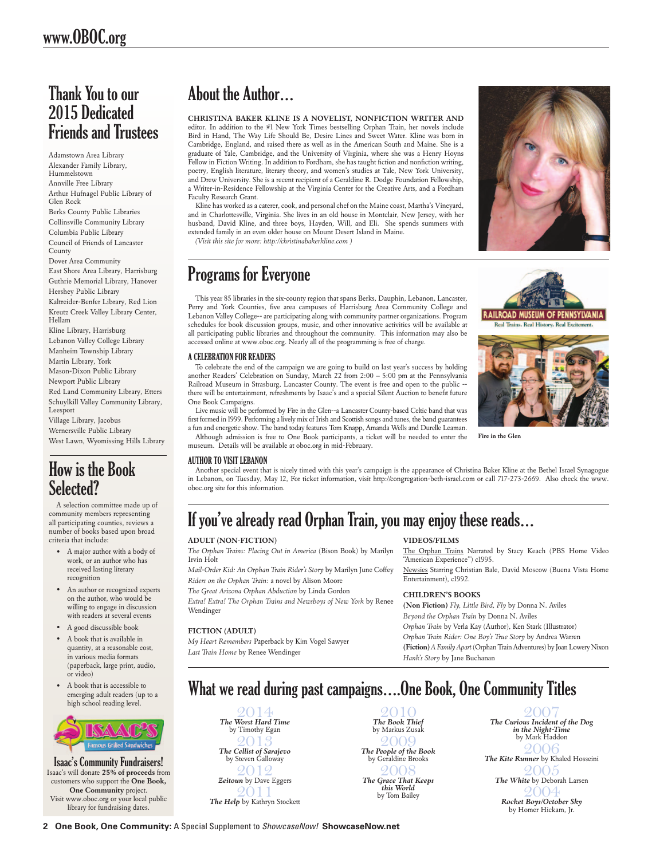### Thank You to our 2015 Dedicated Friends and Trustees

Adamstown Area Library Alexander Family Library, Hummelstown Annville Free Library Arthur Hufnagel Public Library of Glen Rock Berks County Public Libraries Collinsville Community Library Columbia Public Library Council of Friends of Lancaster County Dover Area Community East Shore Area Library, Harrisburg Guthrie Memorial Library, Hanover Hershey Public Library Kaltreider-Benfer Library, Red Lion Kreutz Creek Valley Library Center, Hellam Kline Library, Harrisburg Lebanon Valley College Library Manheim Township Library Martin Library, York Mason-Dixon Public Library Newport Public Library Red Land Community Library, Etters Schuylkill Valley Community Library, Leesport

Village Library, Jacobus Wernersville Public Library West Lawn, Wyomissing Hills Library

### How is the Book Selected?

A selection committee made up of community members representing all participating counties, reviews a number of books based upon broad criteria that include:

- A major author with a body of work, or an author who has received lasting literary recognition
- An author or recognized experts on the author, who would be willing to engage in discussion with readers at several events
- A good discussible book
- A book that is available in quantity, at a reasonable cost, in various media formats (paperback, large print, audio, or video)
- A book that is accessible to emerging adult readers (up to a high school reading level.



Isaac's Community Fundraisers! Isaac's will donate **25% of proceeds** from customers who support the **One Book, One Community** project. Visit www.oboc.org or your local public library for fundraising dates.

# About the Author…

**Christina Baker Kline is a novelist, nonfiction writer and**  editor. In addition to the #1 New York Times bestselling Orphan Train, her novels include Bird in Hand, The Way Life Should Be, Desire Lines and Sweet Water. Kline was born in Cambridge, England, and raised there as well as in the American South and Maine. She is a graduate of Yale, Cambridge, and the University of Virginia, where she was a Henry Hoyns Fellow in Fiction Writing. In addition to Fordham, she has taught fiction and nonfiction writing, poetry, English literature, literary theory, and women's studies at Yale, New York University, and Drew University. She is a recent recipient of a Geraldine R. Dodge Foundation Fellowship, a Writer-in-Residence Fellowship at the Virginia Center for the Creative Arts, and a Fordham Faculty Research Grant.

Kline has worked as a caterer, cook, and personal chef on the Maine coast, Martha's Vineyard, and in Charlottesville, Virginia. She lives in an old house in Montclair, New Jersey, with her husband, David Kline, and three boys, Hayden, Will, and Eli. She spends summers with extended family in an even older house on Mount Desert Island in Maine.

*(Visit this site for more: http://christinabakerkline.com )*

# Programs for Everyone

This year 85 libraries in the six-county region that spans Berks, Dauphin, Lebanon, Lancaster, Perry and York Counties, five area campuses of Harrisburg Area Community College and Lebanon Valley College-- are participating along with community partner organizations. Program schedules for book discussion groups, music, and other innovative activities will be available at all participating public libraries and throughout the community. This information may also be accessed online at www.oboc.org. Nearly all of the programming is free of charge.

### A Celebration for Readers

To celebrate the end of the campaign we are going to build on last year's success by holding another Readers' Celebration on Sunday, March 22 from 2:00 – 5:00 pm at the Pennsylvania Railroad Museum in Strasburg, Lancaster County. The event is free and open to the public - there will be entertainment, refreshments by Isaac's and a special Silent Auction to benefit future One Book Campaigns.

Live music will be performed by Fire in the Glen--a Lancaster County-based Celtic band that was first formed in 1999. Performing a lively mix of Irish and Scottish songs and tunes, the band guarantees a fun and energetic show. The band today features Tom Knapp, Amanda Wells and Durelle Leaman.

**RAILROAD MUSEUM OF** PENNSYLVANIA Real Trains. Real History. Real Exciten



**Fire in the Glen**

Although admission is free to One Book participants, a ticket will be needed to enter the museum. Details will be available at oboc.org in mid-February.

### Author to Visit Lebanon

Another special event that is nicely timed with this year's campaign is the appearance of Christina Baker Kline at the Bethel Israel Synagogue in Lebanon, on Tuesday, May 12, For ticket information, visit http://congregation-beth-israel.com or call 717-273-2669. Also check the www. oboc.org site for this information.

# If you've already read Orphan Train, you may enjoy these reads…

### **Adult (Non-Fiction)**

*The Orphan Trains: Placing Out in America* (Bison Book) by Marilyn Irvin Holt

*Mail-Order Kid: An Orphan Train Rider's Story* by Marilyn June Coffey *Riders on the Orphan Train:* a novel by Alison Moore

*The Great Arizona Orphan Abduction* by Linda Gordon

*Extra! Extra! The Orphan Trains and Newsboys of New York* by Renee Wendinger

### **Fiction (Adult)**

*My Heart Remembers* Paperback by Kim Vogel Sawyer *Last Train Home* by Renee Wendinger

**Videos/Films**

The Orphan Trains Narrated by Stacy Keach (PBS Home Video "American Experience") c1995.

Newsies Starring Christian Bale, David Moscow (Buena Vista Home Entertainment), c1992.

### **Children's Books**

**(Non Fiction)** *Fly, Little Bird, Fly* by Donna N. Aviles *Beyond the Orphan Train* by Donna N. Aviles *Orphan Train* by Verla Kay (Author), Ken Stark (Illustrator) *Orphan Train Rider: One Boy's True Story* by Andrea Warren **(Fiction)***A Family Apart* (Orphan Train Adventures) by Joan Lowery Nixon *Hank's Story* by Jane Buchanan

# What we read during past campaigns….One Book, One Community Titles

2014 *The Worst Hard Time* by Timothy Egan 2013 *The Cellist of Sarajevo* by Steven Galloway 2012 *Zeitoun* by Dave Eggers 2011 *The Help* by Kathryn Stockett

2010 *The Book Thief*  by Markus Zusak 2009 *The People of the Book* by Geraldine Brooks 2008 *The Grace That Keeps this World*  by Tom Bailey

2007 *The Curious Incident of the Dog in the Night-Time*  by Mark Haddon 2006 *The Kite Runner* by Khaled Hosseini  $9005$ *The White* by Deborah Larsen 2004 *Rocket Boys/October Sky*  by Homer Hickam, Jr.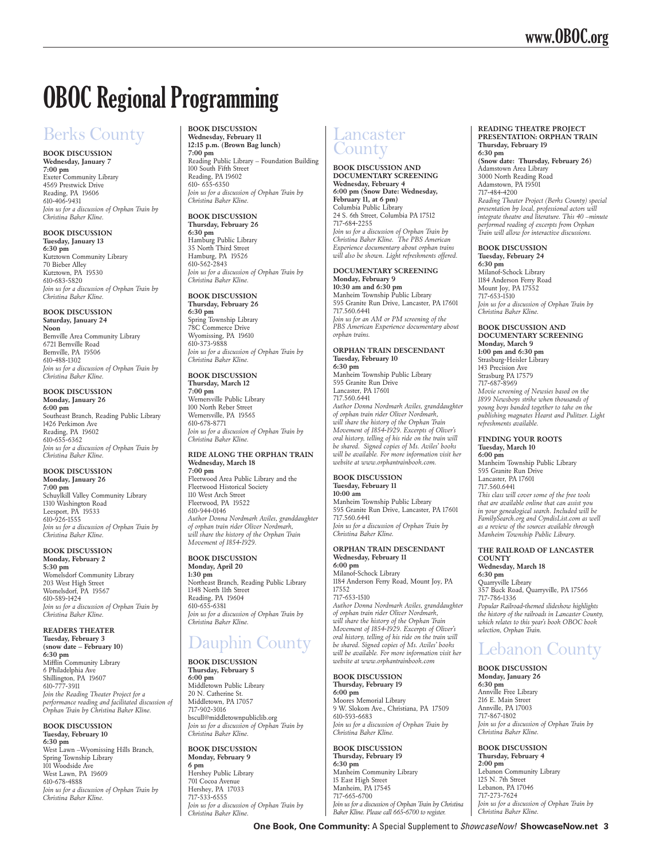# **OBOC Regional Programming**

# Berks County

**Book Discussion Wednesday, January 7 7:00 pm** Exeter Community Library 4569 Prestwick Drive Reading, PA 19606 610-406-9431 *Join us for a discussion of Orphan Train by Christina Baker Kline.*

**Book Discussion Tuesday, January 13 6:30 pm**  Kutztown Community Library 70 Bieber Alley Kutztown, PA 19530 610-683-5820 *Join us for a discussion of Orphan Train by Christina Baker Kline.*

**Book Discussion Saturday, January 24 Noon**  Bernville Area Community Library 6721 Bernville Road Bernville, PA 19506 610-488-1302 *Join us for a discussion of Orphan Train by Christina Baker Kline.*

#### **Book Discussion Monday, January 26 6:00 pm**

Southeast Branch, Reading Public Library 1426 Perkimon Ave Reading, PA 19602 610-655-6362 *Join us for a discussion of Orphan Train by Christina Baker Kline.*

**Book Discussion Monday, January 26 7:00 pm**  Schuylkill Valley Community Library 1310 Washington Road

Leesport, PA 19533 610-926-1555 *Join us for a discussion of Orphan Train by Christina Baker Kline.*

#### **Book Discussion Monday, February 2 5:30 pm**  Womelsdorf Community Library 203 West High Street Womelsdorf, PA 19567 610-589-1424 *Join us for a discussion of Orphan Train by Christina Baker Kline.*

**Readers Theater Tuesday, February 3 (snow date – February 10) 6:30 pm**  Mifflin Community Library 6 Philadelphia Ave Shillington, PA 19607 610-777-3911 *Join the Reading Theater Project for a performance reading and facilitated discussion of Orphan Train by Christina Baker Kline.*

#### **Book Discussion Tuesday, February 10**

**6:30 pm**  West Lawn –Wyomissing Hills Branch, Spring Township Library 101 Woodside Ave West Lawn, PA 19609 610-678-4888 *Join us for a discussion of Orphan Train by Christina Baker Kline.*

**Book Discussion Wednesday, February 11 12:15 p.m. (Brown Bag lunch) 7:00 pm** Reading Public Library – Foundation Building 100 South Fifth Street Reading, PA 19602

610- 655-6350 *Join us for a discussion of Orphan Train by Christina Baker Kline.*

#### **Book Discussion Thursday, February 26**

**6:30 pm**  Hamburg Public Library 35 North Third Street Hamburg, PA 19526 610-562-2843 *Join us for a discussion of Orphan Train by Christina Baker Kline.*

**Book Discussion Thursday, February 26**

**6:30 pm**  Spring Township Library 78C Commerce Drive Wyomissing, PA 19610 610-373-9888 *Join us for a discussion of Orphan Train by Christina Baker Kline.*

**Book Discussion Thursday, March 12**

**7:00 pm**  Wernersville Public Library 100 North Reber Street Wernersville, PA 19565 610-678-8771 *Join us for a discussion of Orphan Train by Christina Baker Kline.*

### **Ride Along the Orphan Train Wednesday, March 18**

**7:00 pm**  Fleetwood Area Public Library and the Fleetwood Historical Society 110 West Arch Street Fleetwood, PA 19522 610-944-0146 *Author Donna Nordmark Aviles, granddaughter of orphan train rider Oliver Nordmark, will share the history of the Orphan Train Movement of 1854-1929.*

**Book Discussion Monday, April 20 1:30 pm**  Northeast Branch, Reading Public Library 1348 North 11th Street Reading, PA 19604 610-655-6381 *Join us for a discussion of Orphan Train by Christina Baker Kline.*

# Dauphin County

**Book Discussion Thursday, February 5 6:00 pm** Middletown Public Library 20 N. Catherine St. Middletown, PA 17057 717-902-3016 bscull@middletownpubliclib.org *Join us for a discussion of Orphan Train by Christina Baker Kline.* 

**Book Discussion Monday, February 9 6 pm** Hershey Public Library 701 Cocoa Avenue Hershey, PA 17033 717-533-6555 *Join us for a discussion of Orphan Train by Christina Baker Kline.* 

### Lancaster **County**

**Book Discussion and Documentary screening Wednesday, February 4 6:00 pm (Snow Date: Wednesday, February 11, at 6 pm)** Columbia Public Library 24 S. 6th Street, Columbia PA 17512 717-684-2255 *Join us for a discussion of Orphan Train by Christina Baker Kline. The PBS American Experience documentary about orphan trains will also be shown. Light refreshments offered.*

#### **Documentary screening Monday, February 9 10:30 am and 6:30 pm**

Manheim Township Public Library 595 Granite Run Drive, Lancaster, PA 17601 717.560.6441 *Join us for an AM or PM screening of the PBS American Experience documentary about orphan trains.*

### **Orphan Train Descendant Tuesday, February 10**

**6:30 pm** Manheim Township Public Library 595 Granite Run Drive Lancaster, PA 17601 717.560.6441 *Author Donna Nordmark Aviles, granddaughter of orphan train rider Oliver Nordmark, will share the history of the Orphan Train Movement of 1854-1929. Excerpts of Oliver's oral history, telling of his ride on the train will be shared. Signed copies of Ms. Aviles' books will be available. For more information visit her website at www.orphantrainbook.com.*

**Book Discussion Tuesday, February 11 10:00 am**

Manheim Township Public Library 595 Granite Run Drive, Lancaster, PA 17601 717.560.6441 *Join us for a discussion of Orphan Train by Christina Baker Kline.*

#### **Orphan Train Descendant Wednesday, February 11 6:00 pm** Milanof-Schock Library 1184 Anderson Ferry Road, Mount Joy, PA 17552 717-653-1510

*Author Donna Nordmark Aviles, granddaughter of orphan train rider Oliver Nordmark, will share the history of the Orphan Train Movement of 1854-1929. Excerpts of Oliver's oral history, telling of his ride on the train will be shared. Signed copies of Ms. Aviles' books will be available. For more information visit her website at www.orphantrainbook.com*

**Book Discussion Thursday, February 19 6:00 pm** Moores Memorial Library 9 W. Slokom Ave., Christiana, PA 17509 610-593-6683 *Join us for a discussion of Orphan Train by Christina Baker Kline.*

**Book Discussion Thursday, February 19 6:30 pm** Manheim Community Library 15 East High Street Manheim, PA 17545 717-665-6700 *Join us for a discussion of Orphan Train by Christina Baker Kline. Please call 665-6700 to register.*

#### **Reading Theatre Project Presentation: Orphan Train Thursday, February 19 6:30 pm**

**(Snow date: Thursday, February 26)** Adamstown Area Library 3000 North Reading Road Adamstown, PA 19501 717-484-4200 *Reading Theater Project (Berks County) special presentation by local, professional actors will integrate theatre and literature. This 40 –minute performed reading of excerpts from Orphan Train will allow for interactive discussions.* 

#### **Book Discussion Tuesday, February 24**

**6:30 pm** Milanof-Schock Library 1184 Anderson Ferry Road Mount Joy, PA 17552 717-653-1510 *Join us for a discussion of Orphan Train by Christina Baker Kline.*

**Book Discussion and Documentary screening Monday, March 9 1:00 pm and 6:30 pm** Strasburg-Heisler Library 143 Precision Ave Strasburg PA 17579 717-687-8969 *Movie screening of Newsies based on the 1899 Newsboys strike when thousands of young boys banded together to take on the publishing magnates Hearst and Pulitzer. Light refreshments available.*

#### **Finding Your Roots Tuesday, March 10**

**6:00 pm** Manheim Township Public Library 595 Granite Run Drive Lancaster, PA 17601 717.560.6441 *This class will cover some of the free tools that are available online that can assist you in your genealogical search. Included will be FamilySearch.org and CyndisList.com as well as a review of the sources available through Manheim Township Public Library.* 

**The Railroad of Lancaster County Wednesday, March 18 6:30 pm** Quarryville Library 357 Buck Road, Quarryville, PA 17566 717-786-1336 *Popular Railroad-themed slideshow highlights the history of the railroads in Lancaster County, which relates to this year's book OBOC book selection, Orphan Train.* 

### Lebanon County

**Book Discussion Monday, January 26 6:30 pm** Annville Free Library 216 E. Main Street Annville, PA 17003 717-867-1802 *Join us for a discussion of Orphan Train by Christina Baker Kline.*

**Book Discussion Thursday, February 4 2:00 pm** Lebanon Community Library 125 N. 7th Street Lebanon, PA 17046 717-273-7624 *Join us for a discussion of Orphan Train by Christina Baker Kline.*

 **One Book, One Community:** A Special Supplement to *ShowcaseNow!* **ShowcaseNow.net 3**